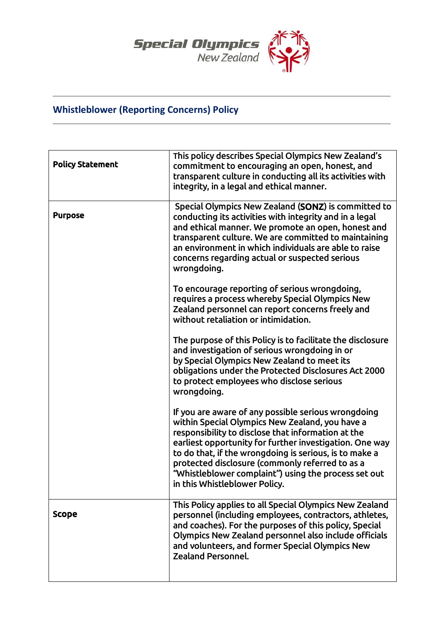

## **Whistleblower (Reporting Concerns) Policy**

| <b>Policy Statement</b> | This policy describes Special Olympics New Zealand's<br>commitment to encouraging an open, honest, and<br>transparent culture in conducting all its activities with<br>integrity, in a legal and ethical manner.                                                                                                                                                                                                              |  |
|-------------------------|-------------------------------------------------------------------------------------------------------------------------------------------------------------------------------------------------------------------------------------------------------------------------------------------------------------------------------------------------------------------------------------------------------------------------------|--|
| <b>Purpose</b>          | Special Olympics New Zealand (SONZ) is committed to<br>conducting its activities with integrity and in a legal<br>and ethical manner. We promote an open, honest and<br>transparent culture. We are committed to maintaining<br>an environment in which individuals are able to raise<br>concerns regarding actual or suspected serious<br>wrongdoing.                                                                        |  |
|                         | To encourage reporting of serious wrongdoing,<br>requires a process whereby Special Olympics New<br>Zealand personnel can report concerns freely and<br>without retaliation or intimidation.                                                                                                                                                                                                                                  |  |
|                         | The purpose of this Policy is to facilitate the disclosure<br>and investigation of serious wrongdoing in or<br>by Special Olympics New Zealand to meet its<br>obligations under the Protected Disclosures Act 2000<br>to protect employees who disclose serious<br>wrongdoing.                                                                                                                                                |  |
|                         | If you are aware of any possible serious wrongdoing<br>within Special Olympics New Zealand, you have a<br>responsibility to disclose that information at the<br>earliest opportunity for further investigation. One way<br>to do that, if the wrongdoing is serious, is to make a<br>protected disclosure (commonly referred to as a<br>"Whistleblower complaint") using the process set out<br>in this Whistleblower Policy. |  |
| <b>Scope</b>            | This Policy applies to all Special Olympics New Zealand<br>personnel (including employees, contractors, athletes,<br>and coaches). For the purposes of this policy, Special<br>Olympics New Zealand personnel also include officials<br>and volunteers, and former Special Olympics New<br><b>Zealand Personnel.</b>                                                                                                          |  |
|                         |                                                                                                                                                                                                                                                                                                                                                                                                                               |  |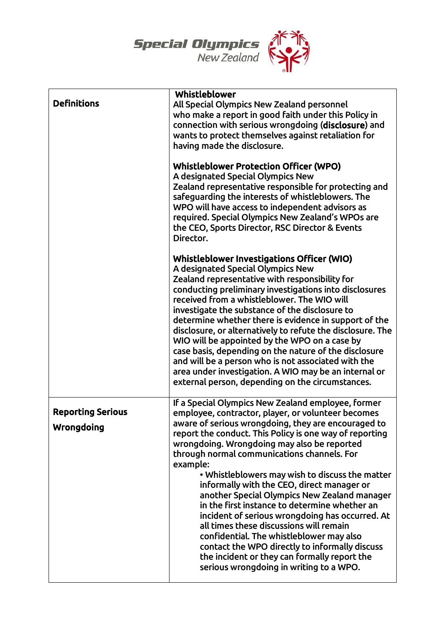## **Special Olympics**



| <b>Definitions</b>                     | Whistleblower<br>All Special Olympics New Zealand personnel<br>who make a report in good faith under this Policy in<br>connection with serious wrongdoing (disclosure) and<br>wants to protect themselves against retaliation for<br>having made the disclosure.                                                                                                                                                                                                                                                                                                                                                                                                                                                                                                                                                              |  |
|----------------------------------------|-------------------------------------------------------------------------------------------------------------------------------------------------------------------------------------------------------------------------------------------------------------------------------------------------------------------------------------------------------------------------------------------------------------------------------------------------------------------------------------------------------------------------------------------------------------------------------------------------------------------------------------------------------------------------------------------------------------------------------------------------------------------------------------------------------------------------------|--|
|                                        | <b>Whistleblower Protection Officer (WPO)</b><br>A designated Special Olympics New<br>Zealand representative responsible for protecting and<br>safeguarding the interests of whistleblowers. The<br>WPO will have access to independent advisors as<br>required. Special Olympics New Zealand's WPOs are<br>the CEO, Sports Director, RSC Director & Events<br>Director.                                                                                                                                                                                                                                                                                                                                                                                                                                                      |  |
|                                        | Whistleblower Investigations Officer (WIO)<br>A designated Special Olympics New<br>Zealand representative with responsibility for<br>conducting preliminary investigations into disclosures<br>received from a whistleblower. The WIO will<br>investigate the substance of the disclosure to<br>determine whether there is evidence in support of the<br>disclosure, or alternatively to refute the disclosure. The<br>WIO will be appointed by the WPO on a case by<br>case basis, depending on the nature of the disclosure<br>and will be a person who is not associated with the<br>area under investigation. A WIO may be an internal or<br>external person, depending on the circumstances.                                                                                                                             |  |
| <b>Reporting Serious</b><br>Wrongdoing | If a Special Olympics New Zealand employee, former<br>employee, contractor, player, or volunteer becomes<br>aware of serious wrongdoing, they are encouraged to<br>report the conduct. This Policy is one way of reporting<br>wrongdoing. Wrongdoing may also be reported<br>through normal communications channels. For<br>example:<br>• Whistleblowers may wish to discuss the matter<br>informally with the CEO, direct manager or<br>another Special Olympics New Zealand manager<br>in the first instance to determine whether an<br>incident of serious wrongdoing has occurred. At<br>all times these discussions will remain<br>confidential. The whistleblower may also<br>contact the WPO directly to informally discuss<br>the incident or they can formally report the<br>serious wrongdoing in writing to a WPO. |  |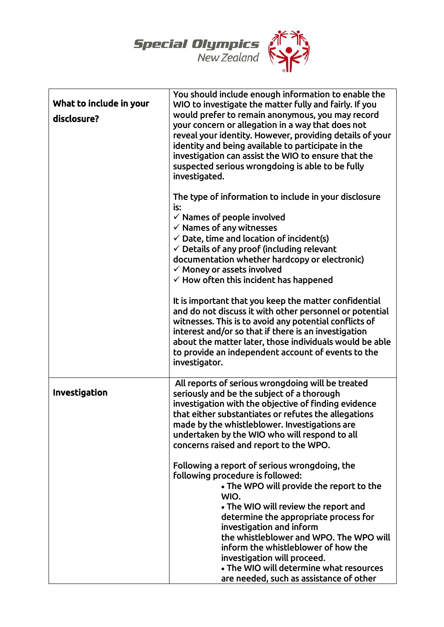

| What to include in your<br>disclosure? | You should include enough information to enable the<br>WIO to investigate the matter fully and fairly. If you<br>would prefer to remain anonymous, you may record<br>your concern or allegation in a way that does not<br>reveal your identity. However, providing details of your<br>identity and being available to participate in the<br>investigation can assist the WIO to ensure that the<br>suspected serious wrongdoing is able to be fully<br>investigated.<br>The type of information to include in your disclosure<br>is:<br>$\checkmark$ Names of people involved<br>$\checkmark$ Names of any witnesses<br>$\checkmark$ Date, time and location of incident(s)<br>$\checkmark$ Details of any proof (including relevant<br>documentation whether hardcopy or electronic)<br>$\checkmark$ Money or assets involved<br>$\checkmark$ How often this incident has happened<br>It is important that you keep the matter confidential<br>and do not discuss it with other personnel or potential<br>witnesses. This is to avoid any potential conflicts of<br>interest and/or so that if there is an investigation<br>about the matter later, those individuals would be able<br>to provide an independent account of events to the<br>investigator. |
|----------------------------------------|-------------------------------------------------------------------------------------------------------------------------------------------------------------------------------------------------------------------------------------------------------------------------------------------------------------------------------------------------------------------------------------------------------------------------------------------------------------------------------------------------------------------------------------------------------------------------------------------------------------------------------------------------------------------------------------------------------------------------------------------------------------------------------------------------------------------------------------------------------------------------------------------------------------------------------------------------------------------------------------------------------------------------------------------------------------------------------------------------------------------------------------------------------------------------------------------------------------------------------------------------------------|
| Investigation                          | All reports of serious wrongdoing will be treated<br>seriously and be the subject of a thorough<br>investigation with the objective of finding evidence<br>that either substantiates or refutes the allegations<br>made by the whistleblower. Investigations are<br>undertaken by the WIO who will respond to all<br>concerns raised and report to the WPO.<br>Following a report of serious wrongdoing, the<br>following procedure is followed:<br>• The WPO will provide the report to the<br>WIO.<br>• The WIO will review the report and<br>determine the appropriate process for<br>investigation and inform<br>the whistleblower and WPO. The WPO will<br>inform the whistleblower of how the<br>investigation will proceed.<br>• The WIO will determine what resources<br>are needed, such as assistance of other                                                                                                                                                                                                                                                                                                                                                                                                                                    |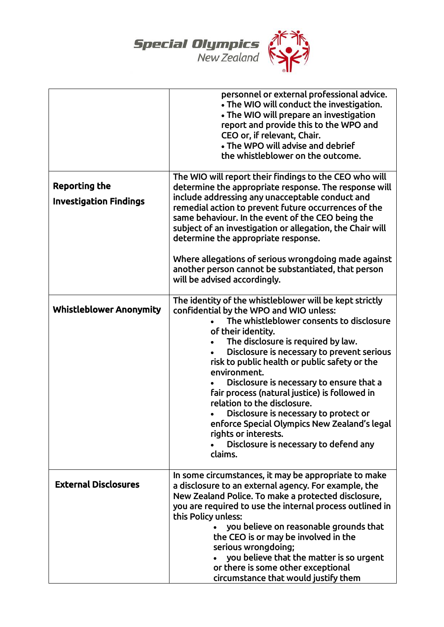



|                                                | personnel or external professional advice.<br>• The WIO will conduct the investigation.<br>• The WIO will prepare an investigation<br>report and provide this to the WPO and<br>CEO or, if relevant, Chair.<br>• The WPO will advise and debrief<br>the whistleblower on the outcome.                                                                                                                                                                                                                                                                                                                                      |  |
|------------------------------------------------|----------------------------------------------------------------------------------------------------------------------------------------------------------------------------------------------------------------------------------------------------------------------------------------------------------------------------------------------------------------------------------------------------------------------------------------------------------------------------------------------------------------------------------------------------------------------------------------------------------------------------|--|
| Reporting the<br><b>Investigation Findings</b> | The WIO will report their findings to the CEO who will<br>determine the appropriate response. The response will<br>include addressing any unacceptable conduct and<br>remedial action to prevent future occurrences of the<br>same behaviour. In the event of the CEO being the<br>subject of an investigation or allegation, the Chair will<br>determine the appropriate response.<br>Where allegations of serious wrongdoing made against<br>another person cannot be substantiated, that person<br>will be advised accordingly.                                                                                         |  |
| <b>Whistleblower Anonymity</b>                 | The identity of the whistleblower will be kept strictly<br>confidential by the WPO and WIO unless:<br>The whistleblower consents to disclosure<br>of their identity.<br>The disclosure is required by law.<br>Disclosure is necessary to prevent serious<br>risk to public health or public safety or the<br>environment.<br>Disclosure is necessary to ensure that a<br>fair process (natural justice) is followed in<br>relation to the disclosure.<br>Disclosure is necessary to protect or<br>enforce Special Olympics New Zealand's legal<br>rights or interests.<br>Disclosure is necessary to defend any<br>claims. |  |
| <b>External Disclosures</b>                    | In some circumstances, it may be appropriate to make<br>a disclosure to an external agency. For example, the<br>New Zealand Police. To make a protected disclosure,<br>you are required to use the internal process outlined in<br>this Policy unless:<br>you believe on reasonable grounds that<br>the CEO is or may be involved in the<br>serious wrongdoing;<br>you believe that the matter is so urgent<br>or there is some other exceptional<br>circumstance that would justify them                                                                                                                                  |  |